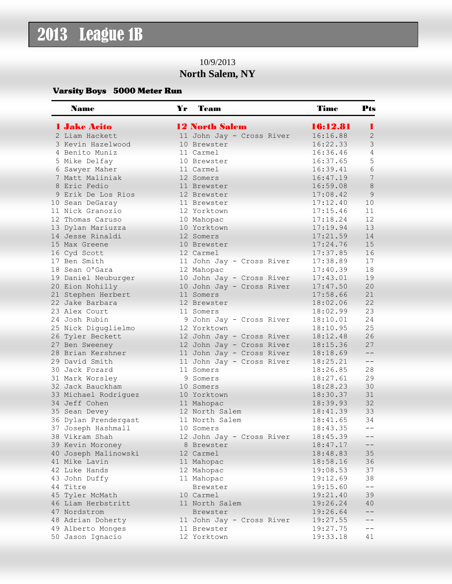## 2013 League 1B

## 10/9/2013 **North Salem, NY**

## Varsity Boys 5000 Meter Run

| <b>Name</b>          | Yr | Team                      | <b>Time</b> | Pts          |
|----------------------|----|---------------------------|-------------|--------------|
| <b>1 Jake Acito</b>  |    | <b>12 North Salem</b>     | 16:12.81    | ٠            |
| 2 Liam Hackett       |    | 11 John Jay - Cross River | 16:16.88    | $\mathbf{2}$ |
| 3 Kevin Hazelwood    |    | 10 Brewster               | 16:22.33    | 3            |
| 4 Benito Muniz       |    | 11 Carmel                 | 16:36.46    | 4            |
| 5 Mike Delfay        |    | 10 Brewster               | 16:37.65    | 5            |
| 6 Sawyer Maher       |    | 11 Carmel                 | 16:39.41    | 6            |
| 7 Matt Maliniak      |    | 12 Somers                 | 16:47.19    | 7            |
| 8 Eric Fedio         |    | 11 Brewster               | 16:59.08    | $8\,$        |
| 9 Erik De Los Rios   |    | 12 Brewster               | 17:08.42    | 9            |
| 10 Sean DeGaray      |    | 11 Brewster               | 17:12.40    | 10           |
| 11 Nick Granozio     |    | 12 Yorktown               | 17:15.46    | 11           |
| 12 Thomas Caruso     |    | 10 Mahopac                | 17:18.24    | 12           |
| 13 Dylan Mariuzza    |    | 10 Yorktown               | 17:19.94    | 13           |
| 14 Jesse Rinaldi     |    | 12 Somers                 | 17:21.59    | 14           |
| 15 Max Greene        |    | 10 Brewster               | 17:24.76    | 15           |
| 16 Cyd Scott         |    | 12 Carmel                 | 17:37.85    | 16           |
| 17 Ben Smith         |    | 11 John Jay - Cross River | 17:38.89    | 17           |
| 18 Sean O'Gara       |    | 12 Mahopac                | 17:40.39    | 18           |
| 19 Daniel Neuburger  |    | 10 John Jay - Cross River | 17:43.01    | 19           |
| 20 Eion Nohilly      |    | 10 John Jay - Cross River | 17:47.50    | 20           |
| 21 Stephen Herbert   |    | 11 Somers                 | 17:58.66    | 21           |
| 22 Jake Barbara      |    | 12 Brewster               | 18:02.06    | 22           |
| 23 Alex Court        |    | 11 Somers                 | 18:02.99    | 23           |
| 24 Josh Rubin        |    | 9 John Jay - Cross River  | 18:10.01    | 24           |
| 25 Nick Diguglielmo  |    | 12 Yorktown               | 18:10.95    | 25           |
| 26 Tyler Beckett     |    | 12 John Jay - Cross River | 18:12.48    | 26           |
| 27 Ben Sweeney       |    | 12 John Jay - Cross River | 18:15.36    | 27           |
| 28 Brian Kershner    |    | 11 John Jay - Cross River | 18:18.69    | $ -$         |
| 29 David Smith       |    | 11 John Jay - Cross River | 18:25.21    | $- -$        |
| 30 Jack Fozard       |    | 11 Somers                 | 18:26.85    | 28           |
| 31 Mark Worsley      |    | 9 Somers                  | 18:27.61    | 29           |
| 32 Jack Bauckham     |    | 10 Somers                 | 18:28.23    | 30           |
| 33 Michael Rodriguez |    | 10 Yorktown               | 18:30.37    | 31           |
| 34 Jeff Cohen        |    | 11 Mahopac                | 18:39.93    | 32           |
| 35 Sean Devey        |    | 12 North Salem            | 18:41.39    | 33           |
| 36 Dylan Prendergast |    | 11 North Salem            | 18:41.65    | 34           |
| 37 Joseph Hashmall   |    | 10 Somers                 | 18:43.35    | $ -$         |
| 38 Vikram Shah       |    | 12 John Jay - Cross River | 18:45.39    |              |
| 39 Kevin Moroney     |    | 8 Brewster                | 18:47.17    |              |
| 40 Joseph Malinowski |    | 12 Carmel                 | 18:48.83    | 35           |
| 41 Mike Lavin        |    | 11 Mahopac                | 18:58.16    | 36           |
| 42 Luke Hands        |    | 12 Mahopac                | 19:08.53    | 37           |
| 43 John Duffy        |    | 11 Mahopac                | 19:12.69    | 38           |
| 44 Titre             |    | Brewster                  | 19:15.60    | --           |
| 45 Tyler McMath      |    | 10 Carmel                 | 19:21.40    | 39           |
| 46 Liam Herbstritt   |    | 11 North Salem            | 19:26.24    | 40           |
| 47 Nordstrom         |    | Brewster                  | 19:26.64    |              |
| 48 Adrian Doherty    |    | 11 John Jay - Cross River | 19:27.55    |              |
| 49 Alberto Monges    |    | 11 Brewster               | 19:27.75    | $- -$        |
| 50 Jason Ignacio     |    | 12 Yorktown               | 19:33.18    | 41           |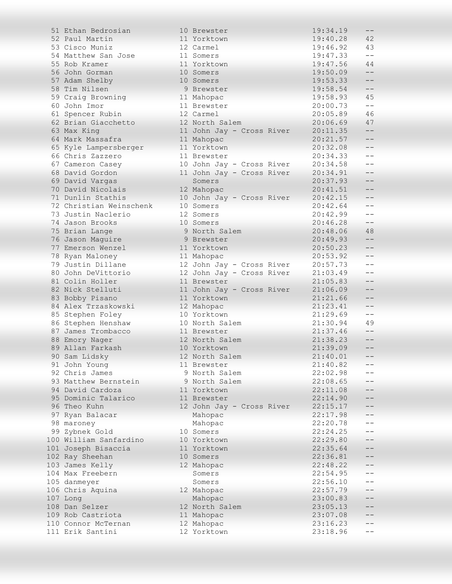| 51 Ethan Bedrosian      | 10 Brewster               | 19:34.19 | $-\,-$            |
|-------------------------|---------------------------|----------|-------------------|
| 52 Paul Martin          | 11 Yorktown               | 19:40.28 | 42                |
| 53 Cisco Muniz          | 12 Carmel                 | 19:46.92 | 43                |
| 54 Matthew San Jose     | 11 Somers                 | 19:47.33 | $-\,-$            |
| 55 Rob Kramer           | 11 Yorktown               | 19:47.56 | 44                |
| 56 John Gorman          | 10 Somers                 | 19:50.09 | $- -$             |
| 57 Adam Shelby          | 10 Somers                 | 19:53.33 | $- -$             |
| 58 Tim Nilsen           | 9 Brewster                | 19:58.54 | $-\,-$            |
| 59 Craig Browning       | 11 Mahopac                | 19:58.93 | 45                |
| 60 John Imor            | 11 Brewster               | 20:00.73 | $\qquad -$        |
| 61 Spencer Rubin        | 12 Carmel                 | 20:05.89 | 46                |
| 62 Brian Giacchetto     | 12 North Salem            | 20:06.69 | 47                |
|                         |                           | 20:11.35 | $\qquad \qquad -$ |
| 63 Max King             | 11 John Jay - Cross River |          |                   |
| 64 Mark Massafra        | 11 Mahopac                | 20:21.57 | $\qquad \qquad -$ |
| 65 Kyle Lampersberger   | 11 Yorktown               | 20:32.08 | $\qquad -$        |
| 66 Chris Zazzero        | 11 Brewster               | 20:34.33 | $- -$             |
| 67 Cameron Casey        | 10 John Jay - Cross River | 20:34.58 | $\qquad \qquad -$ |
| 68 David Gordon         | 11 John Jay - Cross River | 20:34.91 | $- -$             |
| 69 David Vargas         | Somers                    | 20:37.93 | $\qquad \qquad -$ |
| 70 David Nicolais       | 12 Mahopac                | 20:41.51 | $\qquad \qquad -$ |
| 71 Dunlin Stathis       | 10 John Jay - Cross River | 20:42.15 | $\qquad -$        |
| 72 Christian Weinschenk | 10 Somers                 | 20:42.64 | $\qquad -$        |
| 73 Justin Naclerio      | 12 Somers                 | 20:42.99 | $- -$             |
| 74 Jason Brooks         | 10 Somers                 | 20:46.28 | $\qquad \qquad -$ |
| 75 Brian Lange          | 9 North Salem             | 20:48.06 | 48                |
| 76 Jason Maguire        | 9 Brewster                | 20:49.93 | $\qquad \qquad -$ |
| 77 Emerson Wenzel       | 11 Yorktown               | 20:50.23 | $- -$             |
| 78 Ryan Maloney         | 11 Mahopac                | 20:53.92 | $\qquad -$        |
| 79 Justin Dillane       | 12 John Jay - Cross River | 20:57.73 | $\qquad \qquad -$ |
| 80 John DeVittorio      | 12 John Jay - Cross River | 21:03.49 | $- -$             |
| 81 Colin Holler         | 11 Brewster               | 21:05.83 |                   |
| 82 Nick Stelluti        | 11 John Jay - Cross River | 21:06.09 |                   |
| 83 Bobby Pisano         | 11 Yorktown               | 21:21.66 |                   |
| 84 Alex Trzaskowski     |                           | 21:23.41 | $\qquad \qquad -$ |
|                         | 12 Mahopac                |          | $- -$             |
| 85 Stephen Foley        | 10 Yorktown               | 21:29.69 |                   |
| 86 Stephen Henshaw      | 10 North Salem            | 21:30.94 | 49                |
| 87 James Trombacco      | 11 Brewster               | 21:37.46 | $\qquad \qquad -$ |
| 88 Emory Nager          | 12 North Salem            | 21:38.23 | $- -$             |
| 89 Allan Farkash        | 10 Yorktown               | 21:39.09 | $- -$             |
| 90 Sam Lidskv           | 12 North Salem            | 21:40.01 |                   |
| 91 John Young           | 11 Brewster               | 21:40.82 |                   |
| 92 Chris James          | 9 North Salem             | 22:02.98 |                   |
| 93 Matthew Bernstein    | 9 North Salem             | 22:08.65 |                   |
| 94 David Cardoza        | 11 Yorktown               | 22:11.08 |                   |
| 95 Dominic Talarico     | 11 Brewster               | 22:14.90 |                   |
| 96 Theo Kuhn            | 12 John Jay - Cross River | 22:15.17 |                   |
| 97 Ryan Balacar         | Mahopac                   | 22:17.98 |                   |
| 98 maroney              | Mahopac                   | 22:20.78 |                   |
| 99 Zybnek Gold          | 10 Somers                 | 22:24.25 |                   |
| 100 William Sanfardino  | 10 Yorktown               | 22:29.80 | $ -$              |
| 101 Joseph Bisaccia     | 11 Yorktown               | 22:35.64 | $ -$              |
| 102 Ray Sheehan         | 10 Somers                 | 22:36.81 |                   |
| 103 James Kelly         | 12 Mahopac                | 22:48.22 |                   |
| 104 Max Freebern        | Somers                    | 22:54.95 |                   |
|                         |                           |          | $- -$             |
| 105 danmeyer            | Somers                    | 22:56.10 | $- -$             |
| 106 Chris Aquina        | 12 Mahopac                | 22:57.79 |                   |
| 107 Long                | Mahopac                   | 23:00.83 |                   |
| 108 Dan Selzer          | 12 North Salem            | 23:05.13 |                   |
| 109 Rob Castriota       | 11 Mahopac                | 23:07.08 |                   |
| 110 Connor McTernan     | 12 Mahopac                | 23:16.23 |                   |
| 111 Erik Santini        | 12 Yorktown               | 23:18.96 |                   |